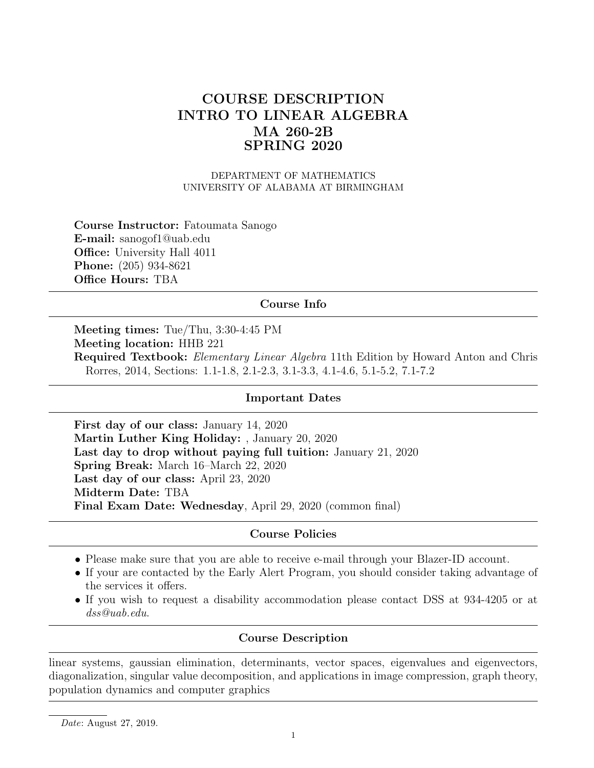# COURSE DESCRIPTION INTRO TO LINEAR ALGEBRA MA 260-2B SPRING 2020

DEPARTMENT OF MATHEMATICS UNIVERSITY OF ALABAMA AT BIRMINGHAM

Course Instructor: Fatoumata Sanogo E-mail: sanogof1@uab.edu Office: University Hall 4011 Phone: (205) 934-8621 Office Hours: TBA

## Course Info

Meeting times: Tue/Thu, 3:30-4:45 PM Meeting location: HHB 221 Required Textbook: Elementary Linear Algebra 11th Edition by Howard Anton and Chris Rorres, 2014, Sections: 1.1-1.8, 2.1-2.3, 3.1-3.3, 4.1-4.6, 5.1-5.2, 7.1-7.2

## Important Dates

First day of our class: January 14, 2020 Martin Luther King Holiday: , January 20, 2020 Last day to drop without paying full tuition: January 21, 2020 Spring Break: March 16–March 22, 2020 Last day of our class: April 23, 2020 Midterm Date: TBA Final Exam Date: Wednesday, April 29, 2020 (common final)

## Course Policies

- Please make sure that you are able to receive e-mail through your Blazer-ID account.
- If your are contacted by the Early Alert Program, you should consider taking advantage of the services it offers.
- If you wish to request a disability accommodation please contact DSS at 934-4205 or at dss@uab.edu.

## Course Description

linear systems, gaussian elimination, determinants, vector spaces, eigenvalues and eigenvectors, diagonalization, singular value decomposition, and applications in image compression, graph theory, population dynamics and computer graphics

Date: August 27, 2019.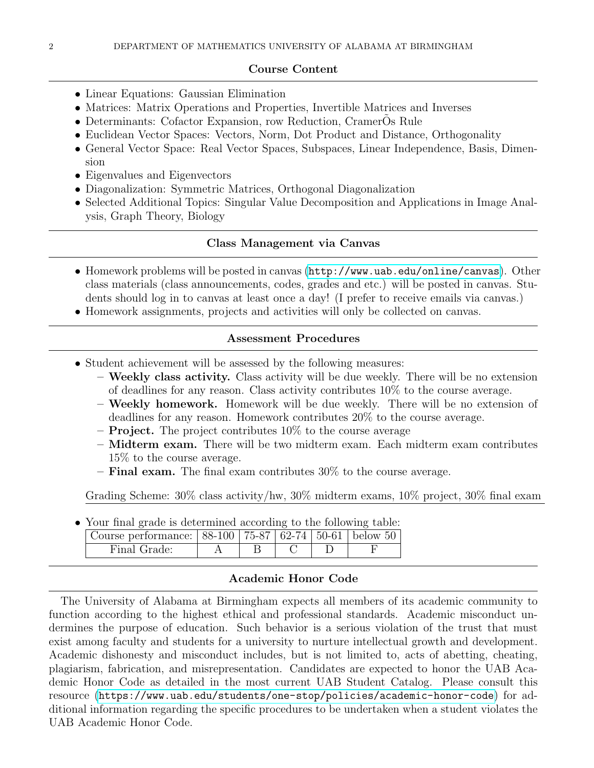#### Course Content

- Linear Equations: Gaussian Elimination
- Matrices: Matrix Operations and Properties, Invertible Matrices and Inverses
- Determinants: Cofactor Expansion, row Reduction, CramerOs Rule
- Euclidean Vector Spaces: Vectors, Norm, Dot Product and Distance, Orthogonality
- General Vector Space: Real Vector Spaces, Subspaces, Linear Independence, Basis, Dimension
- Eigenvalues and Eigenvectors
- Diagonalization: Symmetric Matrices, Orthogonal Diagonalization
- Selected Additional Topics: Singular Value Decomposition and Applications in Image Analysis, Graph Theory, Biology

#### Class Management via Canvas

- Homework problems will be posted in canvas (<http://www.uab.edu/online/canvas>). Other class materials (class announcements, codes, grades and etc.) will be posted in canvas. Students should log in to canvas at least once a day! (I prefer to receive emails via canvas.)
- Homework assignments, projects and activities will only be collected on canvas.

### Assessment Procedures

- Student achievement will be assessed by the following measures:
	- Weekly class activity. Class activity will be due weekly. There will be no extension of deadlines for any reason. Class activity contributes 10% to the course average.
	- Weekly homework. Homework will be due weekly. There will be no extension of deadlines for any reason. Homework contributes 20% to the course average.
	- $-$  **Project.** The project contributes 10% to the course average
	- Midterm exam. There will be two midterm exam. Each midterm exam contributes 15% to the course average.
	- $-$  Final exam. The final exam contributes 30% to the course average.

Grading Scheme: 30% class activity/hw, 30% midterm exams, 10% project, 30% final exam

| • Your final grade is determined according to the following table: |  |  |  |
|--------------------------------------------------------------------|--|--|--|
| Course performance: 88-100 75-87 62-74 50-61 below 50              |  |  |  |
| Final Grade:                                                       |  |  |  |

• Your final grade is determined according to the following table:

## Academic Honor Code

The University of Alabama at Birmingham expects all members of its academic community to function according to the highest ethical and professional standards. Academic misconduct undermines the purpose of education. Such behavior is a serious violation of the trust that must exist among faculty and students for a university to nurture intellectual growth and development. Academic dishonesty and misconduct includes, but is not limited to, acts of abetting, cheating, plagiarism, fabrication, and misrepresentation. Candidates are expected to honor the UAB Academic Honor Code as detailed in the most current UAB Student Catalog. Please consult this resource (<https://www.uab.edu/students/one-stop/policies/academic-honor-code>) for additional information regarding the specific procedures to be undertaken when a student violates the UAB Academic Honor Code.